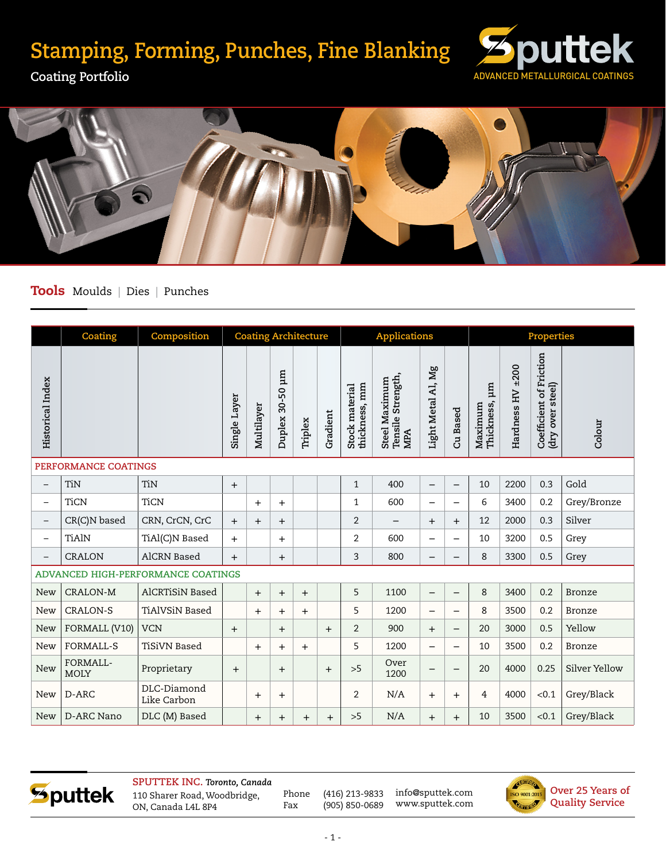## **Stamping, Forming, Punches, Fine Blanking**



**Coating Portfolio**



## Tools Moulds | Dies | Punches

|                                    | Coating                 | Composition                | <b>Coating Architecture</b> |                |                   |         | <b>Applications</b> |                                 |                                                         |                          | Properties               |                          |                  |                                                |               |
|------------------------------------|-------------------------|----------------------------|-----------------------------|----------------|-------------------|---------|---------------------|---------------------------------|---------------------------------------------------------|--------------------------|--------------------------|--------------------------|------------------|------------------------------------------------|---------------|
| <b>Historical Index</b>            |                         |                            | Single Layer                | Multilayer     | Ξ<br>Duplex 30-50 | Triplex | Gradient            | thickness, mm<br>Stock material | Tensile Strength,<br><b>Steel Maximum</b><br><b>MPA</b> | Light Metal Al, Mg       | Based<br>යි              | Thickness, µm<br>Maximum | Hardness HV ±200 | Coefficient of Friction<br>steel)<br>(dry over | Colour        |
| PERFORMANCE COATINGS               |                         |                            |                             |                |                   |         |                     |                                 |                                                         |                          |                          |                          |                  |                                                |               |
| $\qquad \qquad -$                  | TiN                     | TiN                        | $+$                         |                |                   |         |                     | $\mathbf{1}$                    | 400                                                     | $\overline{\phantom{0}}$ | $\overline{\phantom{0}}$ | 10                       | 2200             | 0.3                                            | Gold          |
| $\overline{\phantom{m}}$           | <b>TiCN</b>             | <b>TiCN</b>                |                             | $\ddot{}$      | $+$               |         |                     | $\mathbf{1}$                    | 600                                                     | $\overline{\phantom{0}}$ | $\overline{\phantom{0}}$ | 6                        | 3400             | 0.2                                            | Grey/Bronze   |
| $\overline{\phantom{m}}$           | CR(C)N based            | CRN, CrCN, CrC             | $+$                         | $\overline{+}$ | $\ddot{}$         |         |                     | $\overline{2}$                  | $\overline{\phantom{0}}$                                | $+$                      | $\ddot{}$                | 12                       | 2000             | 0.3                                            | Silver        |
| $\overline{\phantom{m}}$           | <b>TiAlN</b>            | TiAl(C)N Based             | $+$                         |                | $\ddot{}$         |         |                     | $\overline{2}$                  | 600                                                     | $\overline{\phantom{0}}$ | $\overline{\phantom{0}}$ | 10                       | 3200             | 0.5                                            | Grey          |
| $\overline{\phantom{m}}$           | <b>CRALON</b>           | <b>AlCRN</b> Based         | $+$                         |                | $+$               |         |                     | 3                               | 800                                                     | —                        | —                        | 8                        | 3300             | 0.5                                            | Grey          |
| ADVANCED HIGH-PERFORMANCE COATINGS |                         |                            |                             |                |                   |         |                     |                                 |                                                         |                          |                          |                          |                  |                                                |               |
| New                                | <b>CRALON-M</b>         | <b>AlCRTiSiN Based</b>     |                             | $+$            | $+$               | $+$     |                     | 5                               | 1100                                                    | $\overline{\phantom{0}}$ | $\qquad \qquad -$        | 8                        | 3400             | 0.2                                            | Bronze        |
| <b>New</b>                         | <b>CRALON-S</b>         | <b>TiAlVSiN Based</b>      |                             | $+$            | $\ddot{}$         | $+$     |                     | 5                               | 1200                                                    | $\overline{\phantom{0}}$ | $\overline{\phantom{0}}$ | 8                        | 3500             | 0.2                                            | <b>Bronze</b> |
| <b>New</b>                         | FORMALL (V10)           | <b>VCN</b>                 | $+$                         |                | $+$               |         | $+$                 | $\overline{2}$                  | 900                                                     | $+$                      | $\qquad \qquad -$        | 20                       | 3000             | 0.5                                            | Yellow        |
| New                                | <b>FORMALL-S</b>        | <b>TiSiVN Based</b>        |                             | $+$            | $+$               | $+$     |                     | 5                               | 1200                                                    |                          | $\overline{\phantom{0}}$ | 10                       | 3500             | 0.2                                            | Bronze        |
| <b>New</b>                         | FORMALL-<br><b>MOLY</b> | Proprietary                | $\ddot{}$                   |                | $+$               |         | $+$                 | >5                              | Over<br>1200                                            |                          | —                        | 20                       | 4000             | 0.25                                           | Silver Yellow |
| <b>New</b>                         | D-ARC                   | DLC-Diamond<br>Like Carbon |                             | $+$            | $+$               |         |                     | $\overline{2}$                  | N/A                                                     | $+$                      | $\ddot{}$                | $\overline{4}$           | 4000             | < 0.1                                          | Grey/Black    |
| <b>New</b>                         | <b>D-ARC Nano</b>       | DLC (M) Based              |                             | $+$            | $\overline{+}$    | $+$     | $^{+}$              | >5                              | N/A                                                     | $^{+}$                   | $+$                      | 10                       | 3500             | < 0.1                                          | Grey/Black    |



**SPUTTEK INC.** *Toronto, Canada* 110 Sharer Road, Woodbridge, ON, Canada L4L 8P4

Phone (416) 213-9833 Fax (905) 850-0689

info@sputtek.com www.sputtek.com